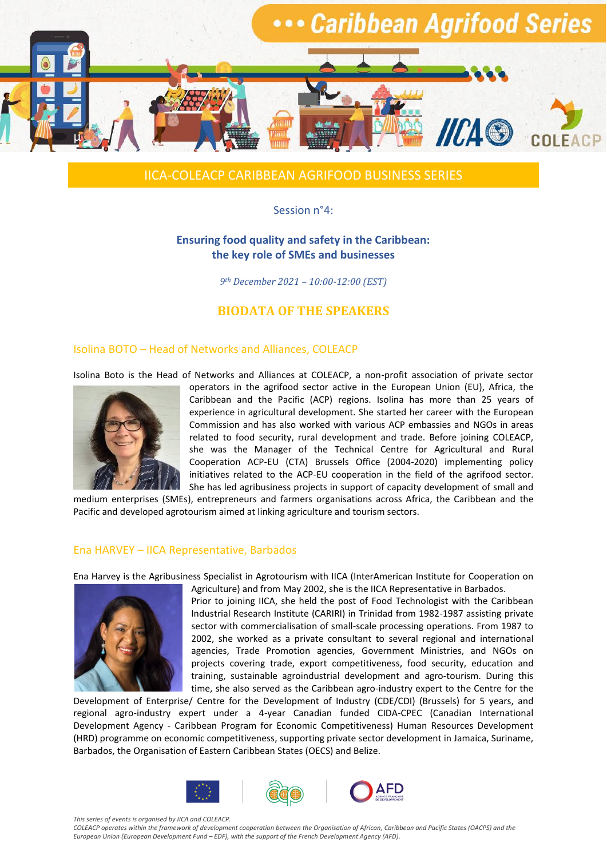

# IICA-COLEACP CARIBBEAN AGRIFOOD BUSINESS SERIES

### Session n°4:

### **Ensuring food quality and safety in the Caribbean: the key role of SMEs and businesses**

*9th December 2021 – 10:00-12:00 (EST)*

# **BIODATA OF THE SPEAKERS**

#### Isolina BOTO – Head of Networks and Alliances, COLEACP

Isolina Boto is the Head of Networks and Alliances at COLEACP, a non-profit association of private sector



operators in the agrifood sector active in the European Union (EU), Africa, the Caribbean and the Pacific (ACP) regions. Isolina has more than 25 years of experience in agricultural development. She started her career with the European Commission and has also worked with various ACP embassies and NGOs in areas related to food security, rural development and trade. Before joining COLEACP, she was the Manager of the Technical Centre for Agricultural and Rural Cooperation ACP-EU (CTA) Brussels Office (2004-2020) implementing policy initiatives related to the ACP-EU cooperation in the field of the agrifood sector. She has led agribusiness projects in support of capacity development of small and

medium enterprises (SMEs), entrepreneurs and farmers organisations across Africa, the Caribbean and the Pacific and developed agrotourism aimed at linking agriculture and tourism sectors.

#### [Ena HARVEY](https://www.linkedin.com/in/nnaemeka-ikegwuonu-78b7a222/) – IICA Representative, Barbados

Ena Harvey is the Agribusiness Specialist in Agrotourism with IICA (InterAmerican Institute for Cooperation on



Agriculture) and from May 2002, she is the IICA Representative in Barbados. Prior to joining IICA, she held the post of Food Technologist with the Caribbean Industrial Research Institute (CARIRI) in Trinidad from 1982-1987 assisting private sector with commercialisation of small-scale processing operations. From 1987 to 2002, she worked as a private consultant to several regional and international agencies, Trade Promotion agencies, Government Ministries, and NGOs on projects covering trade, export competitiveness, food security, education and training, sustainable agroindustrial development and agro-tourism. During this time, she also served as the Caribbean agro-industry expert to the Centre for the

Development of Enterprise/ Centre for the Development of Industry (CDE/CDI) (Brussels) for 5 years, and regional agro-industry expert under a 4-year Canadian funded CIDA-CPEC (Canadian International Development Agency - Caribbean Program for Economic Competitiveness) Human Resources Development (HRD) programme on economic competitiveness, supporting private sector development in Jamaica, Suriname, Barbados, the Organisation of Eastern Caribbean States (OECS) and Belize.



*This series of events is organised by IICA and COLEACP.* 

*COLEACP operates within the framework of development cooperation between the Organisation of African, Caribbean and Pacific States (OACPS) and the European Union (European Development Fund – EDF), with the support of the French Development Agency (AFD).*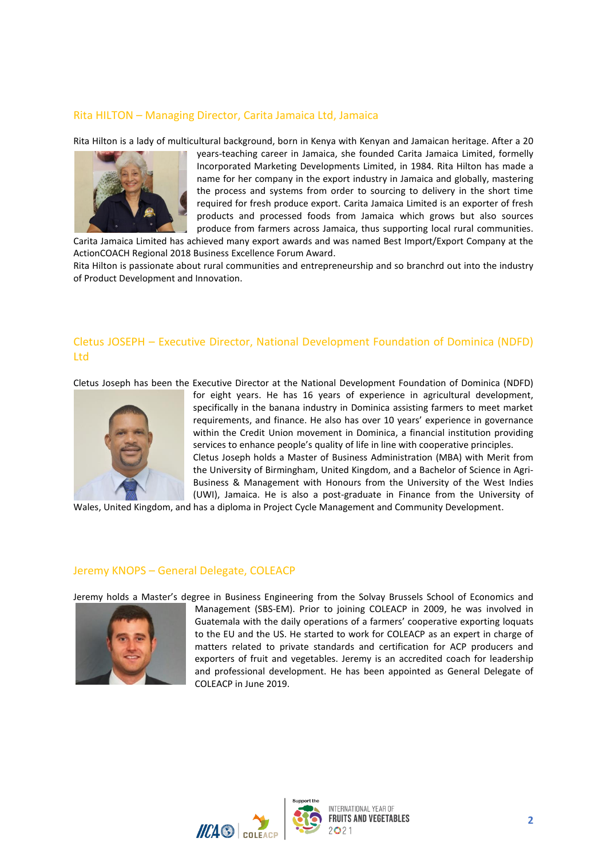### Rita HILTON – Managing Director, Carita Jamaica Ltd, Jamaica

Rita Hilton is a lady of multicultural background, born in Kenya with Kenyan and Jamaican heritage. After a 20



years-teaching career in Jamaica, she founded Carita Jamaica Limited, formelly Incorporated Marketing Developments Limited, in 1984. Rita Hilton has made a name for her company in the export industry in Jamaica and globally, mastering the process and systems from order to sourcing to delivery in the short time required for fresh produce export. Carita Jamaica Limited is an exporter of fresh products and processed foods from Jamaica which grows but also sources produce from farmers across Jamaica, thus supporting local rural communities.

Carita Jamaica Limited has achieved many export awards and was named Best Import/Export Company at the ActionCOACH Regional 2018 Business Excellence Forum Award.

Rita Hilton is passionate about rural communities and entrepreneurship and so branchrd out into the industry of Product Development and Innovation.

# Cletus JOSEPH – Executive Director, National Development Foundation of Dominica (NDFD) Ltd

Cletus Joseph has been the Executive Director at the National Development Foundation of Dominica (NDFD)



for eight years. He has 16 years of experience in agricultural development, specifically in the banana industry in Dominica assisting farmers to meet market requirements, and finance. He also has over 10 years' experience in governance within the Credit Union movement in Dominica, a financial institution providing services to enhance people's quality of life in line with cooperative principles. Cletus Joseph holds a Master of Business Administration (MBA) with Merit from the University of Birmingham, United Kingdom, and a Bachelor of Science in Agri-Business & Management with Honours from the University of the West Indies (UWI), Jamaica. He is also a post-graduate in Finance from the University of

Wales, United Kingdom, and has a diploma in Project Cycle Management and Community Development.

### Jeremy KNOPS – General Delegate, COLEACP

Jeremy holds a Master's degree in Business Engineering from the Solvay Brussels School of Economics and



Management (SBS-EM). Prior to joining COLEACP in 2009, he was involved in Guatemala with the daily operations of a farmers' cooperative exporting loquats to the EU and the US. He started to work for COLEACP as an expert in charge of matters related to private standards and certification for ACP producers and exporters of fruit and vegetables. Jeremy is an accredited coach for leadership and professional development. He has been appointed as General Delegate of COLEACP in June 2019.

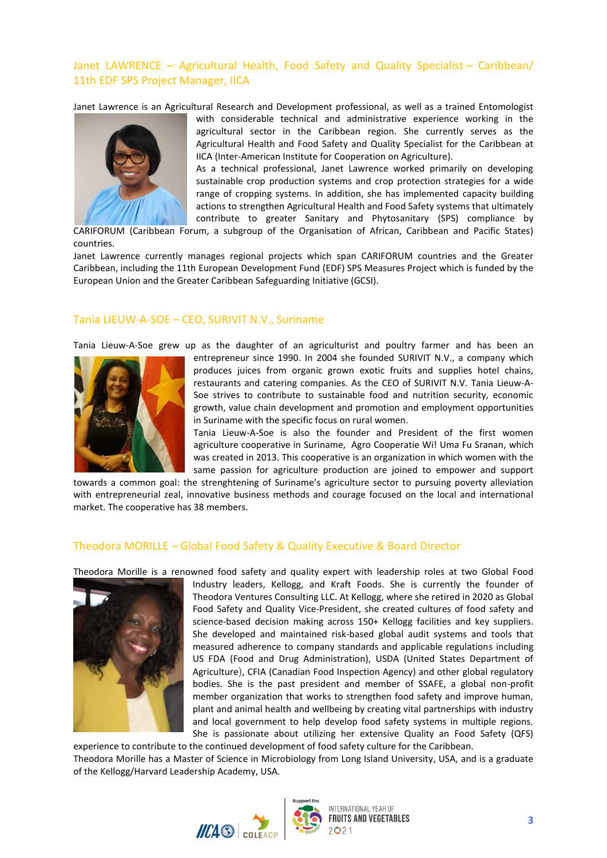### Janet LAWRENCE – Agricultural Health, Food Safety and Quality Specialist – Caribbean/ 11th EDF SPS Project Manager, IICA

Janet Lawrence is an Agricultural Research and Development professional, as well as a trained Entomologist



with considerable technical and administrative experience working in the agricultural sector in the Caribbean region. She currently serves as the Agricultural Health and Food Safety and Quality Specialist for the Caribbean at IICA (Inter-American Institute for Cooperation on Agriculture).

As a technical professional, Janet Lawrence worked primarily on developing sustainable crop production systems and crop protection strategies for a wide range of cropping systems. In addition, she has implemented capacity building actions to strengthen Agricultural Health and Food Safety systems that ultimately contribute to greater Sanitary and Phytosanitary (SPS) compliance by

CARIFORUM (Caribbean Forum, a subgroup of the Organisation of African, Caribbean and Pacific States) countries.

Janet Lawrence currently manages regional projects which span CARIFORUM countries and the Greater Caribbean, including the 11th European Development Fund (EDF) SPS Measures Project which is funded by the European Union and the Greater Caribbean Safeguarding Initiative (GCSI).

### Tania LIEUW-A-SOE – CEO, SURIVIT N.V., Suriname

Tania Lieuw-A-Soe grew up as the daughter of an agriculturist and poultry farmer and has been an



entrepreneur since 1990. In 2004 she founded SURIVIT N.V., a company which produces juices from organic grown exotic fruits and supplies hotel chains, restaurants and catering companies. As the CEO of SURIVIT N.V. Tania Lieuw-A-Soe strives to contribute to sustainable food and nutrition security, economic growth, value chain development and promotion and employment opportunities in Suriname with the specific focus on rural women.

Tania Lieuw-A-Soe is also the founder and President of the first women agriculture cooperative in Suriname, Agro Cooperatie Wi! Uma Fu Sranan, which was created in 2013. This cooperative is an organization in which women with the same passion for agriculture production are joined to empower and support

towards a common goal: the strenghtening of Suriname's agriculture sector to pursuing poverty alleviation with entrepreneurial zeal, innovative business methods and courage focused on the local and international market. The cooperative has 38 members.

### Theodora MORILLE – Global Food Safety & Quality Executive & Board Director

Theodora Morille is a renowned food safety and quality expert with leadership roles at two Global Food



Industry leaders, Kellogg, and Kraft Foods. She is currently the founder of Theodora Ventures Consulting LLC. At Kellogg, where she retired in 2020 as Global Food Safety and Quality Vice-President, she created cultures of food safety and science-based decision making across 150+ Kellogg facilities and key suppliers. She developed and maintained risk-based global audit systems and tools that measured adherence to company standards and applicable regulations including US FDA (Food and Drug Administration), USDA (United States Department of Agriculture), CFIA (Canadian Food Inspection Agency) and other global regulatory bodies. She is the past president and member of SSAFE, a global non-profit member organization that works to strengthen food safety and improve human, plant and animal health and wellbeing by creating vital partnerships with industry and local government to help develop food safety systems in multiple regions. She is passionate about utilizing her extensive Quality an Food Safety (QFS)

experience to contribute to the continued development of food safety culture for the Caribbean. Theodora Morille has a Master of Science in Microbiology from Long Island University, USA, and is a graduate of the Kellogg/Harvard Leadership Academy, USA.

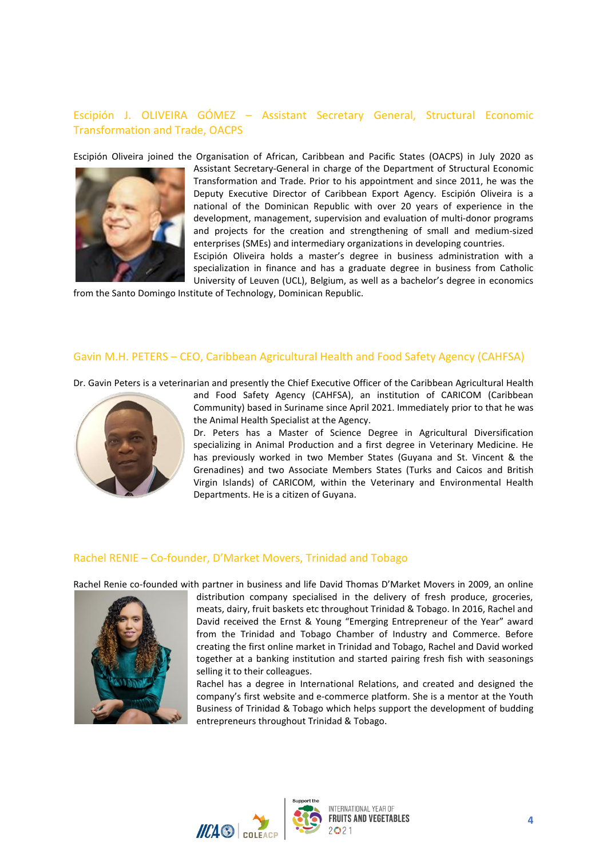# Escipión J. OLIVEIRA GÓMEZ – Assistant Secretary General, Structural Economic Transformation and Trade, OACPS

Escipión Oliveira joined the Organisation of African, Caribbean and Pacific States (OACPS) in July 2020 as



Assistant Secretary-General in charge of the Department of Structural Economic Transformation and Trade. Prior to his appointment and since 2011, he was the Deputy Executive Director of Caribbean Export Agency. Escipión Oliveira is a national of the Dominican Republic with over 20 years of experience in the development, management, supervision and evaluation of multi-donor programs and projects for the creation and strengthening of small and medium-sized enterprises (SMEs) and intermediary organizations in developing countries.

Escipión Oliveira holds a master's degree in business administration with a specialization in finance and has a graduate degree in business from Catholic University of Leuven (UCL), Belgium, as well as a bachelor's degree in economics

from the Santo Domingo Institute of Technology, Dominican Republic.

### Gavin M.H. PETERS – CEO, Caribbean Agricultural Health and Food Safety Agency (CAHFSA)

Dr. Gavin Peters is a veterinarian and presently the Chief Executive Officer of the Caribbean Agricultural Health



and Food Safety Agency (CAHFSA), an institution of CARICOM (Caribbean Community) based in Suriname since April 2021. Immediately prior to that he was the Animal Health Specialist at the Agency.

Dr. Peters has a Master of Science Degree in Agricultural Diversification specializing in Animal Production and a first degree in Veterinary Medicine. He has previously worked in two Member States (Guyana and St. Vincent & the Grenadines) and two Associate Members States (Turks and Caicos and British Virgin Islands) of CARICOM, within the Veterinary and Environmental Health Departments. He is a citizen of Guyana.

#### Rachel RENIE – Co-founder, D'Market Movers, Trinidad and Tobago

Rachel Renie co-founded with partner in business and life David Thomas D'Market Movers in 2009, an online



distribution company specialised in the delivery of fresh produce, groceries, meats, dairy, fruit baskets etc throughout Trinidad & Tobago. In 2016, Rachel and David received the Ernst & Young "Emerging Entrepreneur of the Year" award from the Trinidad and Tobago Chamber of Industry and Commerce. Before creating the first online market in Trinidad and Tobago, Rachel and David worked together at a banking institution and started pairing fresh fish with seasonings selling it to their colleagues.

Rachel has a degree in International Relations, and created and designed the company's first website and e-commerce platform. She is a mentor at the Youth Business of Trinidad & Tobago which helps support the development of budding entrepreneurs throughout Trinidad & Tobago.